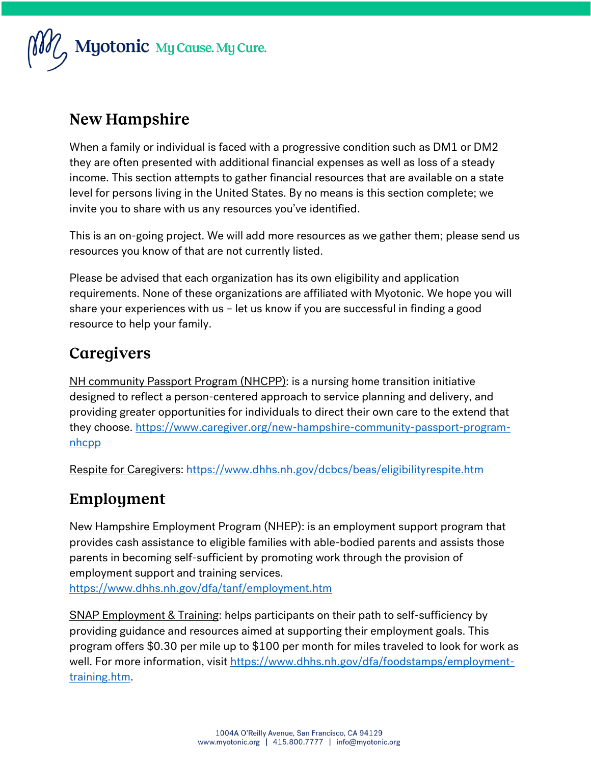

## **New Hampshire**

When a family or individual is faced with a progressive condition such as DM1 or DM2 they are often presented with additional financial expenses as well as loss of a steady income. This section attempts to gather financial resources that are available on a state level for persons living in the United States. By no means is this section complete; we invite you to share with us any resources you've identified.

This is an on-going project. We will add more resources as we gather them; please send us resources you know of that are not currently listed.

Please be advised that each organization has its own eligibility and application requirements. None of these organizations are affiliated with Myotonic. We hope you will share your experiences with us – let us know if you are successful in finding a good resource to help your family.

# Caregivers

NH community Passport Program (NHCPP): is a nursing home transition initiative designed to reflect a person-centered approach to service planning and delivery, and providing greater opportunities for individuals to direct their own care to the extend that they choose. [https://www.caregiver.org/new-hampshire-community-passport-program](https://www.caregiver.org/new-hampshire-community-passport-program-nhcpp)[nhcpp](https://www.caregiver.org/new-hampshire-community-passport-program-nhcpp)

Respite for Caregivers:<https://www.dhhs.nh.gov/dcbcs/beas/eligibilityrespite.htm>

# Employment

New Hampshire Employment Program (NHEP): is an employment support program that provides cash assistance to eligible families with able-bodied parents and assists those parents in becoming self-sufficient by promoting work through the provision of employment support and training services.

<https://www.dhhs.nh.gov/dfa/tanf/employment.htm>

SNAP Employment & Training: helps participants on their path to self-sufficiency by providing guidance and resources aimed at supporting their employment goals. This program offers \$0.30 per mile up to \$100 per month for miles traveled to look for work as well. For more information, visit [https://www.dhhs.nh.gov/dfa/foodstamps/employment](https://www.dhhs.nh.gov/dfa/foodstamps/employment-training.htm)[training.htm.](https://www.dhhs.nh.gov/dfa/foodstamps/employment-training.htm)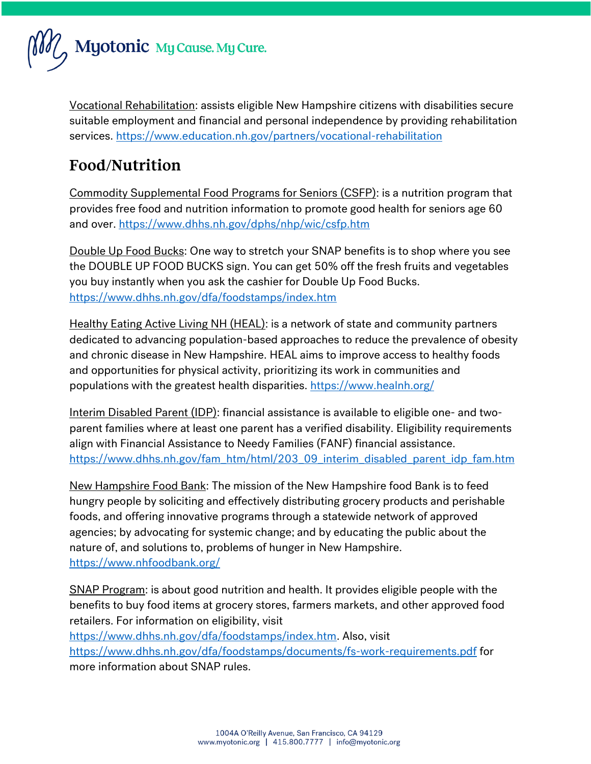

Vocational Rehabilitation: assists eligible New Hampshire citizens with disabilities secure suitable employment and financial and personal independence by providing rehabilitation services.<https://www.education.nh.gov/partners/vocational-rehabilitation>

## Food/Nutrition

Commodity Supplemental Food Programs for Seniors (CSFP): is a nutrition program that provides free food and nutrition information to promote good health for seniors age 60 and over.<https://www.dhhs.nh.gov/dphs/nhp/wic/csfp.htm>

Double Up Food Bucks: One way to stretch your SNAP benefits is to shop where you see the DOUBLE UP FOOD BUCKS sign. You can get 50% off the fresh fruits and vegetables you buy instantly when you ask the cashier for Double Up Food Bucks. <https://www.dhhs.nh.gov/dfa/foodstamps/index.htm>

Healthy Eating Active Living NH (HEAL): is a network of state and community partners dedicated to advancing population-based approaches to reduce the prevalence of obesity and chronic disease in New Hampshire. HEAL aims to improve access to healthy foods and opportunities for physical activity, prioritizing its work in communities and populations with the greatest health disparities.<https://www.healnh.org/>

Interim Disabled Parent (IDP): financial assistance is available to eligible one- and twoparent families where at least one parent has a verified disability. Eligibility requirements align with Financial Assistance to Needy Families (FANF) financial assistance. [https://www.dhhs.nh.gov/fam\\_htm/html/203\\_09\\_interim\\_disabled\\_parent\\_idp\\_fam.htm](https://www.dhhs.nh.gov/fam_htm/html/203_09_interim_disabled_parent_idp_fam.htm)

New Hampshire Food Bank: The mission of the New Hampshire food Bank is to feed hungry people by soliciting and effectively distributing grocery products and perishable foods, and offering innovative programs through a statewide network of approved agencies; by advocating for systemic change; and by educating the public about the nature of, and solutions to, problems of hunger in New Hampshire. <https://www.nhfoodbank.org/>

SNAP Program: is about good nutrition and health. It provides eligible people with the benefits to buy food items at grocery stores, farmers markets, and other approved food retailers. For information on eligibility, visit

[https://www.dhhs.nh.gov/dfa/foodstamps/index.htm.](https://www.dhhs.nh.gov/dfa/foodstamps/index.htm) Also, visit <https://www.dhhs.nh.gov/dfa/foodstamps/documents/fs-work-requirements.pdf> for more information about SNAP rules.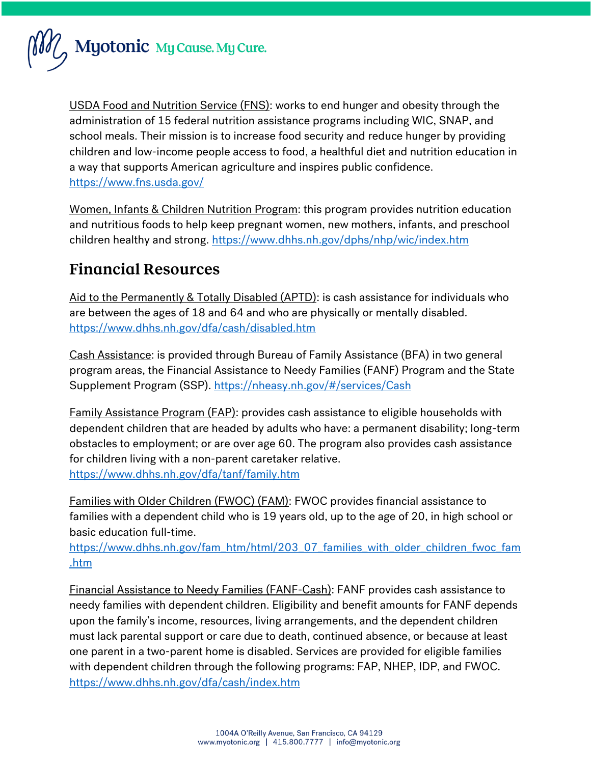

USDA Food and Nutrition Service (FNS): works to end hunger and obesity through the administration of 15 federal nutrition assistance programs including WIC, SNAP, and school meals. Their mission is to increase food security and reduce hunger by providing children and low-income people access to food, a healthful diet and nutrition education in a way that supports American agriculture and inspires public confidence. <https://www.fns.usda.gov/>

Women, Infants & Children Nutrition Program: this program provides nutrition education and nutritious foods to help keep pregnant women, new mothers, infants, and preschool children healthy and strong.<https://www.dhhs.nh.gov/dphs/nhp/wic/index.htm>

#### **Financial Resources**

Aid to the Permanently & Totally Disabled (APTD): is cash assistance for individuals who are between the ages of 18 and 64 and who are physically or mentally disabled. <https://www.dhhs.nh.gov/dfa/cash/disabled.htm>

Cash Assistance: is provided through Bureau of Family Assistance (BFA) in two general program areas, the Financial Assistance to Needy Families (FANF) Program and the State Supplement Program (SSP).<https://nheasy.nh.gov/#/services/Cash>

Family Assistance Program (FAP): provides cash assistance to eligible households with dependent children that are headed by adults who have: a permanent disability; long-term obstacles to employment; or are over age 60. The program also provides cash assistance for children living with a non-parent caretaker relative. <https://www.dhhs.nh.gov/dfa/tanf/family.htm>

Families with Older Children (FWOC) (FAM): FWOC provides financial assistance to families with a dependent child who is 19 years old, up to the age of 20, in high school or basic education full-time.

[https://www.dhhs.nh.gov/fam\\_htm/html/203\\_07\\_families\\_with\\_older\\_children\\_fwoc\\_fam](https://www.dhhs.nh.gov/fam_htm/html/203_07_families_with_older_children_fwoc_fam.htm) [.htm](https://www.dhhs.nh.gov/fam_htm/html/203_07_families_with_older_children_fwoc_fam.htm)

Financial Assistance to Needy Families (FANF-Cash): FANF provides cash assistance to needy families with dependent children. Eligibility and benefit amounts for FANF depends upon the family's income, resources, living arrangements, and the dependent children must lack parental support or care due to death, continued absence, or because at least one parent in a two-parent home is disabled. Services are provided for eligible families with dependent children through the following programs: FAP, NHEP, IDP, and FWOC. <https://www.dhhs.nh.gov/dfa/cash/index.htm>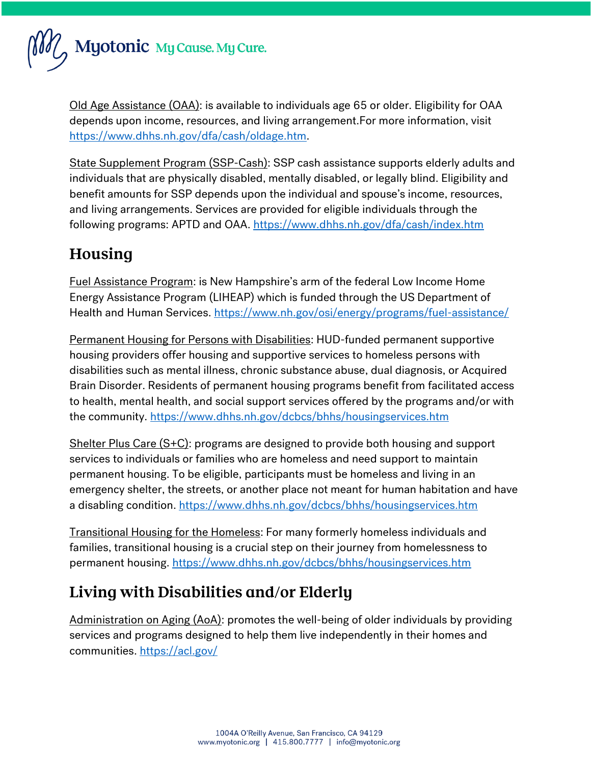Myotonic My Cause. My Cure.

Old Age Assistance (OAA): is available to individuals age 65 or older. Eligibility for OAA depends upon income, resources, and living arrangement.For more information, visit [https://www.dhhs.nh.gov/dfa/cash/oldage.htm.](https://www.dhhs.nh.gov/dfa/cash/oldage.htm)

State Supplement Program (SSP-Cash): SSP cash assistance supports elderly adults and individuals that are physically disabled, mentally disabled, or legally blind. Eligibility and benefit amounts for SSP depends upon the individual and spouse's income, resources, and living arrangements. Services are provided for eligible individuals through the following programs: APTD and OAA.<https://www.dhhs.nh.gov/dfa/cash/index.htm>

# Housing

Fuel Assistance Program: is New Hampshire's arm of the federal Low Income Home Energy Assistance Program (LIHEAP) which is funded through the US Department of Health and Human Services.<https://www.nh.gov/osi/energy/programs/fuel-assistance/>

Permanent Housing for Persons with Disabilities: HUD-funded permanent supportive housing providers offer housing and supportive services to homeless persons with disabilities such as mental illness, chronic substance abuse, dual diagnosis, or Acquired Brain Disorder. Residents of permanent housing programs benefit from facilitated access to health, mental health, and social support services offered by the programs and/or with the community.<https://www.dhhs.nh.gov/dcbcs/bhhs/housingservices.htm>

Shelter Plus Care (S+C): programs are designed to provide both housing and support services to individuals or families who are homeless and need support to maintain permanent housing. To be eligible, participants must be homeless and living in an emergency shelter, the streets, or another place not meant for human habitation and have a disabling condition.<https://www.dhhs.nh.gov/dcbcs/bhhs/housingservices.htm>

Transitional Housing for the Homeless: For many formerly homeless individuals and families, transitional housing is a crucial step on their journey from homelessness to permanent housing.<https://www.dhhs.nh.gov/dcbcs/bhhs/housingservices.htm>

# Living with Disabilities and/or Elderly

Administration on Aging (AoA): promotes the well-being of older individuals by providing services and programs designed to help them live independently in their homes and communities.<https://acl.gov/>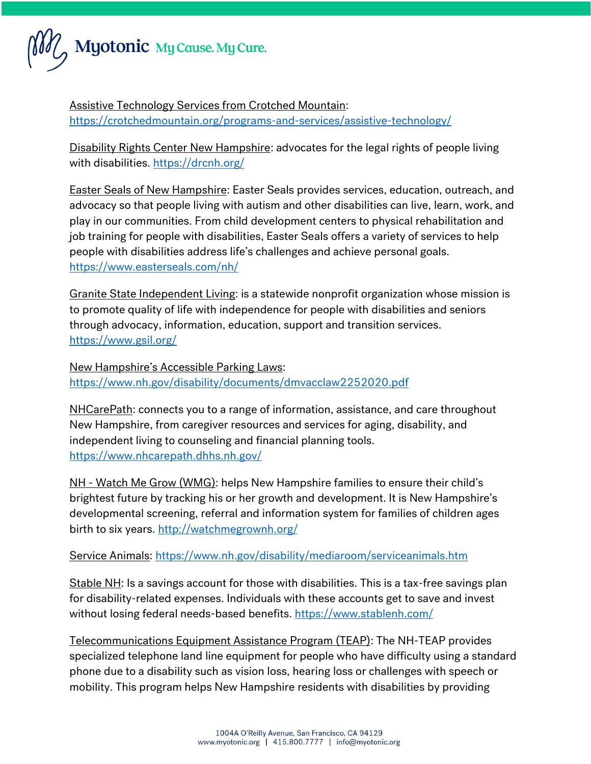

Assistive Technology Services from Crotched Mountain: <https://crotchedmountain.org/programs-and-services/assistive-technology/>

Disability Rights Center New Hampshire: advocates for the legal rights of people living with disabilities.<https://drcnh.org/>

Easter Seals of New Hampshire: Easter Seals provides services, education, outreach, and advocacy so that people living with autism and other disabilities can live, learn, work, and play in our communities. From child development centers to physical rehabilitation and job training for people with disabilities, Easter Seals offers a variety of services to help people with disabilities address life's challenges and achieve personal goals. <https://www.easterseals.com/nh/>

Granite State Independent Living: is a statewide nonprofit organization whose mission is to promote quality of life with independence for people with disabilities and seniors through advocacy, information, education, support and transition services. <https://www.gsil.org/>

New Hampshire's Accessible Parking Laws: <https://www.nh.gov/disability/documents/dmvacclaw2252020.pdf>

NHCarePath: connects you to a range of information, assistance, and care throughout New Hampshire, from caregiver resources and services for aging, disability, and independent living to counseling and financial planning tools. <https://www.nhcarepath.dhhs.nh.gov/>

NH - Watch Me Grow (WMG): helps New Hampshire families to ensure their child's brightest future by tracking his or her growth and development. It is New Hampshire's developmental screening, referral and information system for families of children ages birth to six years.<http://watchmegrownh.org/>

#### Service Animals:<https://www.nh.gov/disability/mediaroom/serviceanimals.htm>

Stable NH: Is a savings account for those with disabilities. This is a tax-free savings plan for disability-related expenses. Individuals with these accounts get to save and invest without losing federal needs-based benefits.<https://www.stablenh.com/>

Telecommunications Equipment Assistance Program (TEAP): The NH-TEAP provides specialized telephone land line equipment for people who have difficulty using a standard phone due to a disability such as vision loss, hearing loss or challenges with speech or mobility. This program helps New Hampshire residents with disabilities by providing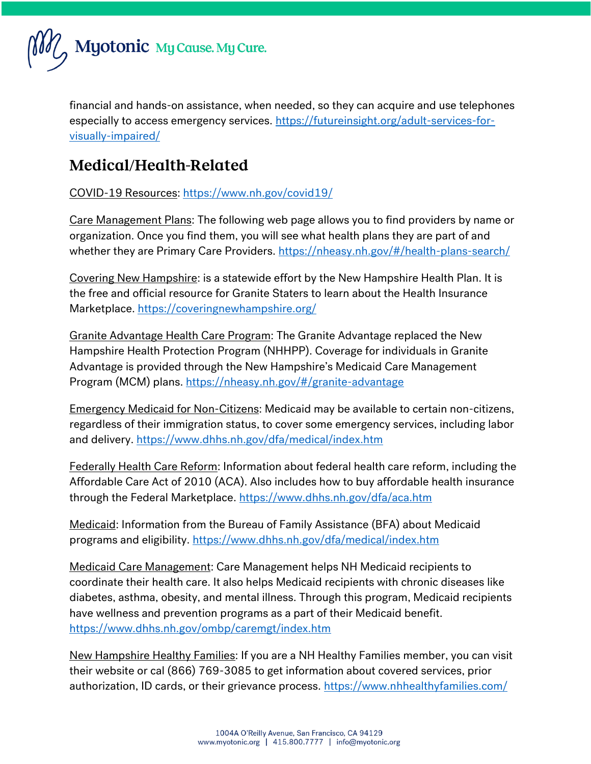

financial and hands-on assistance, when needed, so they can acquire and use telephones especially to access emergency services. [https://futureinsight.org/adult-services-for](https://futureinsight.org/adult-services-for-visually-impaired/)[visually-impaired/](https://futureinsight.org/adult-services-for-visually-impaired/)

## Medical/Health-Related

COVID-19 Resources:<https://www.nh.gov/covid19/>

Care Management Plans: The following web page allows you to find providers by name or organization. Once you find them, you will see what health plans they are part of and whether they are Primary Care Providers.<https://nheasy.nh.gov/#/health-plans-search/>

Covering New Hampshire: is a statewide effort by the New Hampshire Health Plan. It is the free and official resource for Granite Staters to learn about the Health Insurance Marketplace.<https://coveringnewhampshire.org/>

Granite Advantage Health Care Program: The Granite Advantage replaced the New Hampshire Health Protection Program (NHHPP). Coverage for individuals in Granite Advantage is provided through the New Hampshire's Medicaid Care Management Program (MCM) plans.<https://nheasy.nh.gov/#/granite-advantage>

Emergency Medicaid for Non-Citizens: Medicaid may be available to certain non-citizens, regardless of their immigration status, to cover some emergency services, including labor and delivery.<https://www.dhhs.nh.gov/dfa/medical/index.htm>

Federally Health Care Reform: Information about federal health care reform, including the Affordable Care Act of 2010 (ACA). Also includes how to buy affordable health insurance through the Federal Marketplace.<https://www.dhhs.nh.gov/dfa/aca.htm>

Medicaid: Information from the Bureau of Family Assistance (BFA) about Medicaid programs and eligibility.<https://www.dhhs.nh.gov/dfa/medical/index.htm>

Medicaid Care Management: Care Management helps NH Medicaid recipients to coordinate their health care. It also helps Medicaid recipients with chronic diseases like diabetes, asthma, obesity, and mental illness. Through this program, Medicaid recipients have wellness and prevention programs as a part of their Medicaid benefit. <https://www.dhhs.nh.gov/ombp/caremgt/index.htm>

New Hampshire Healthy Families: If you are a NH Healthy Families member, you can visit their website or cal (866) 769-3085 to get information about covered services, prior authorization, ID cards, or their grievance process.<https://www.nhhealthyfamilies.com/>